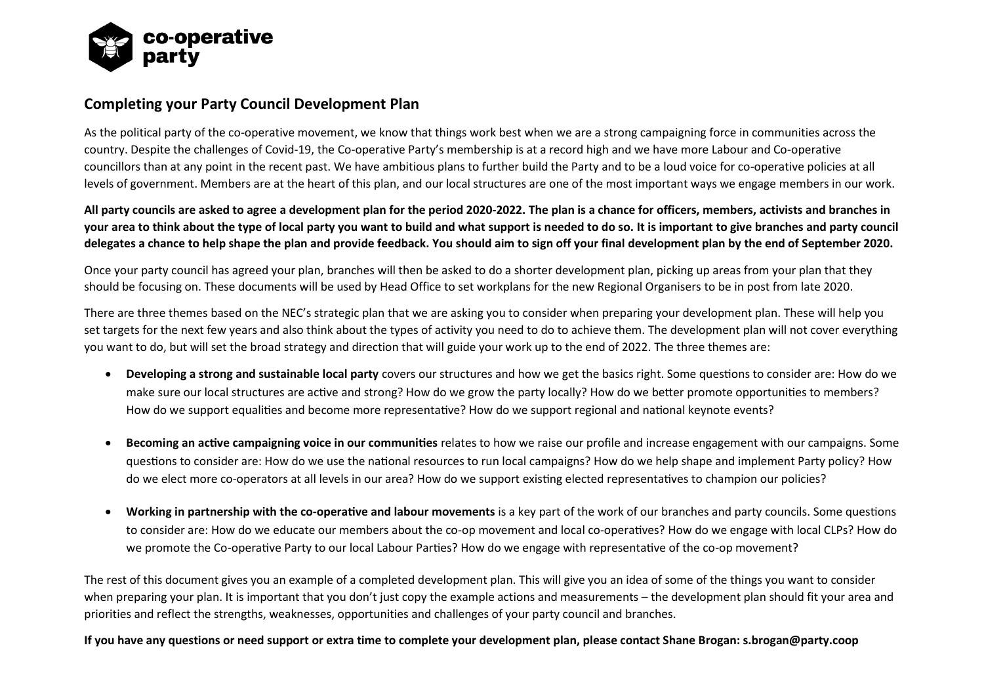

## **Completing your Party Council Development Plan**

As the political party of the co-operative movement, we know that things work best when we are a strong campaigning force in communities across the country. Despite the challenges of Covid-19, the Co-operative Party's membership is at a record high and we have more Labour and Co-operative councillors than at any point in the recent past. We have ambitious plans to further build the Party and to be a loud voice for co-operative policies at all levels of government. Members are at the heart of this plan, and our local structures are one of the most important ways we engage members in our work.

**All party councils are asked to agree a development plan for the period 2020-2022. The plan is a chance for officers, members, activists and branches in your area to think about the type of local party you want to build and what support is needed to do so. It is important to give branches and party council delegates a chance to help shape the plan and provide feedback. You should aim to sign off your final development plan by the end of September 2020.**

Once your party council has agreed your plan, branches will then be asked to do a shorter development plan, picking up areas from your plan that they should be focusing on. These documents will be used by Head Office to set workplans for the new Regional Organisers to be in post from late 2020.

There are three themes based on the NEC's strategic plan that we are asking you to consider when preparing your development plan. These will help you set targets for the next few years and also think about the types of activity you need to do to achieve them. The development plan will not cover everything you want to do, but will set the broad strategy and direction that will guide your work up to the end of 2022. The three themes are:

- **Developing a strong and sustainable local party** covers our structures and how we get the basics right. Some questions to consider are: How do we make sure our local structures are active and strong? How do we grow the party locally? How do we better promote opportunities to members? How do we support equalities and become more representative? How do we support regional and national keynote events?
- **Becoming an active campaigning voice in our communities** relates to how we raise our profile and increase engagement with our campaigns. Some questions to consider are: How do we use the national resources to run local campaigns? How do we help shape and implement Party policy? How do we elect more co-operators at all levels in our area? How do we support existing elected representatives to champion our policies?
- **Working in partnership with the co-operative and labour movements** is a key part of the work of our branches and party councils. Some questions to consider are: How do we educate our members about the co-op movement and local co-operatives? How do we engage with local CLPs? How do we promote the Co-operative Party to our local Labour Parties? How do we engage with representative of the co-op movement?

The rest of this document gives you an example of a completed development plan. This will give you an idea of some of the things you want to consider when preparing your plan. It is important that you don't just copy the example actions and measurements – the development plan should fit your area and priorities and reflect the strengths, weaknesses, opportunities and challenges of your party council and branches.

**If you have any questions or need support or extra time to complete your development plan, please contact Shane Brogan: s.brogan@party.coop**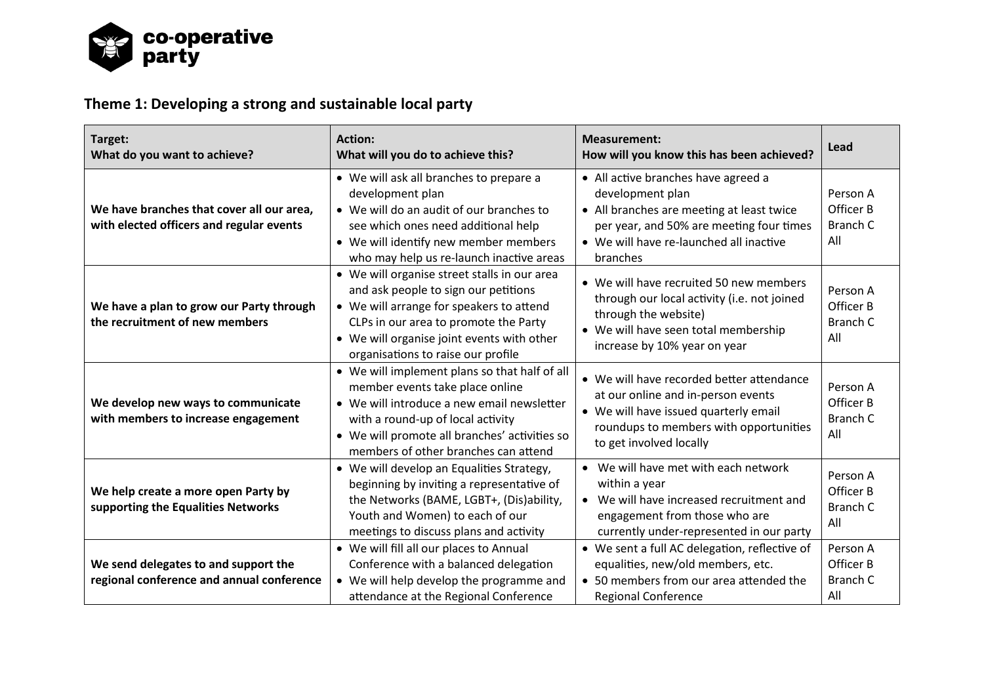

## **Theme 1: Developing a strong and sustainable local party**

| Target:<br>What do you want to achieve?                                               | <b>Action:</b><br>What will you do to achieve this?                                                                                                                                                                                                           | <b>Measurement:</b><br>How will you know this has been achieved?                                                                                                                                        | Lead                                            |
|---------------------------------------------------------------------------------------|---------------------------------------------------------------------------------------------------------------------------------------------------------------------------------------------------------------------------------------------------------------|---------------------------------------------------------------------------------------------------------------------------------------------------------------------------------------------------------|-------------------------------------------------|
| We have branches that cover all our area,<br>with elected officers and regular events | • We will ask all branches to prepare a<br>development plan<br>• We will do an audit of our branches to<br>see which ones need additional help<br>• We will identify new member members<br>who may help us re-launch inactive areas                           | • All active branches have agreed a<br>development plan<br>• All branches are meeting at least twice<br>per year, and 50% are meeting four times<br>• We will have re-launched all inactive<br>branches | Person A<br>Officer B<br><b>Branch C</b><br>All |
| We have a plan to grow our Party through<br>the recruitment of new members            | • We will organise street stalls in our area<br>and ask people to sign our petitions<br>• We will arrange for speakers to attend<br>CLPs in our area to promote the Party<br>• We will organise joint events with other<br>organisations to raise our profile | • We will have recruited 50 new members<br>through our local activity (i.e. not joined<br>through the website)<br>• We will have seen total membership<br>increase by 10% year on year                  | Person A<br>Officer B<br><b>Branch C</b><br>All |
| We develop new ways to communicate<br>with members to increase engagement             | • We will implement plans so that half of all<br>member events take place online<br>• We will introduce a new email newsletter<br>with a round-up of local activity<br>• We will promote all branches' activities so<br>members of other branches can attend  | • We will have recorded better attendance<br>at our online and in-person events<br>• We will have issued quarterly email<br>roundups to members with opportunities<br>to get involved locally           | Person A<br>Officer B<br><b>Branch C</b><br>All |
| We help create a more open Party by<br>supporting the Equalities Networks             | • We will develop an Equalities Strategy,<br>beginning by inviting a representative of<br>the Networks (BAME, LGBT+, (Dis)ability,<br>Youth and Women) to each of our<br>meetings to discuss plans and activity                                               | • We will have met with each network<br>within a year<br>• We will have increased recruitment and<br>engagement from those who are<br>currently under-represented in our party                          | Person A<br>Officer B<br><b>Branch C</b><br>All |
| We send delegates to and support the<br>regional conference and annual conference     | • We will fill all our places to Annual<br>Conference with a balanced delegation<br>• We will help develop the programme and<br>attendance at the Regional Conference                                                                                         | • We sent a full AC delegation, reflective of<br>equalities, new/old members, etc.<br>• 50 members from our area attended the<br><b>Regional Conference</b>                                             | Person A<br>Officer B<br><b>Branch C</b><br>All |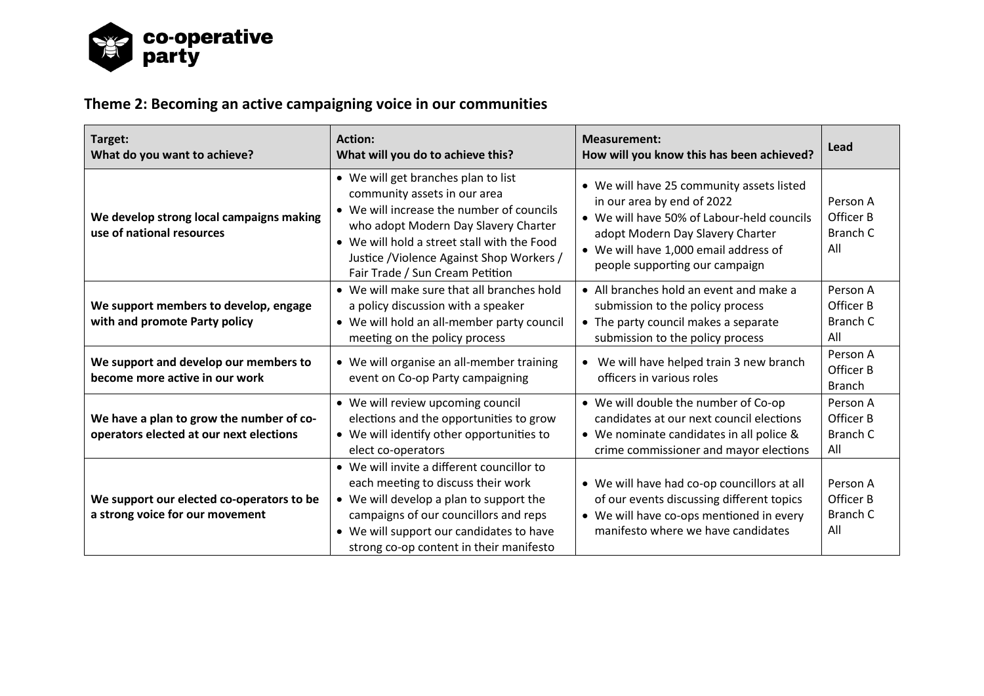

## **Theme 2: Becoming an active campaigning voice in our communities**

| Target:<br>What do you want to achieve?                                             | <b>Action:</b><br>What will you do to achieve this?                                                                                                                                                                                                                                     | <b>Measurement:</b><br>How will you know this has been achieved?                                                                                                                                                                     | Lead                                            |
|-------------------------------------------------------------------------------------|-----------------------------------------------------------------------------------------------------------------------------------------------------------------------------------------------------------------------------------------------------------------------------------------|--------------------------------------------------------------------------------------------------------------------------------------------------------------------------------------------------------------------------------------|-------------------------------------------------|
| We develop strong local campaigns making<br>use of national resources               | • We will get branches plan to list<br>community assets in our area<br>• We will increase the number of councils<br>who adopt Modern Day Slavery Charter<br>• We will hold a street stall with the Food<br>Justice / Violence Against Shop Workers /<br>Fair Trade / Sun Cream Petition | • We will have 25 community assets listed<br>in our area by end of 2022<br>• We will have 50% of Labour-held councils<br>adopt Modern Day Slavery Charter<br>• We will have 1,000 email address of<br>people supporting our campaign | Person A<br>Officer B<br><b>Branch C</b><br>All |
| We support members to develop, engage<br>with and promote Party policy              | • We will make sure that all branches hold<br>a policy discussion with a speaker<br>• We will hold an all-member party council<br>meeting on the policy process                                                                                                                         | • All branches hold an event and make a<br>submission to the policy process<br>• The party council makes a separate<br>submission to the policy process                                                                              | Person A<br>Officer B<br>Branch C<br>All        |
| We support and develop our members to<br>become more active in our work             | • We will organise an all-member training<br>event on Co-op Party campaigning                                                                                                                                                                                                           | • We will have helped train 3 new branch<br>officers in various roles                                                                                                                                                                | Person A<br>Officer B<br><b>Branch</b>          |
| We have a plan to grow the number of co-<br>operators elected at our next elections | • We will review upcoming council<br>elections and the opportunities to grow<br>• We will identify other opportunities to<br>elect co-operators                                                                                                                                         | • We will double the number of Co-op<br>candidates at our next council elections<br>• We nominate candidates in all police &<br>crime commissioner and mayor elections                                                               | Person A<br>Officer B<br>Branch C<br>All        |
| We support our elected co-operators to be<br>a strong voice for our movement        | • We will invite a different councillor to<br>each meeting to discuss their work<br>• We will develop a plan to support the<br>campaigns of our councillors and reps<br>• We will support our candidates to have<br>strong co-op content in their manifesto                             | • We will have had co-op councillors at all<br>of our events discussing different topics<br>• We will have co-ops mentioned in every<br>manifesto where we have candidates                                                           | Person A<br>Officer B<br>Branch C<br>All        |